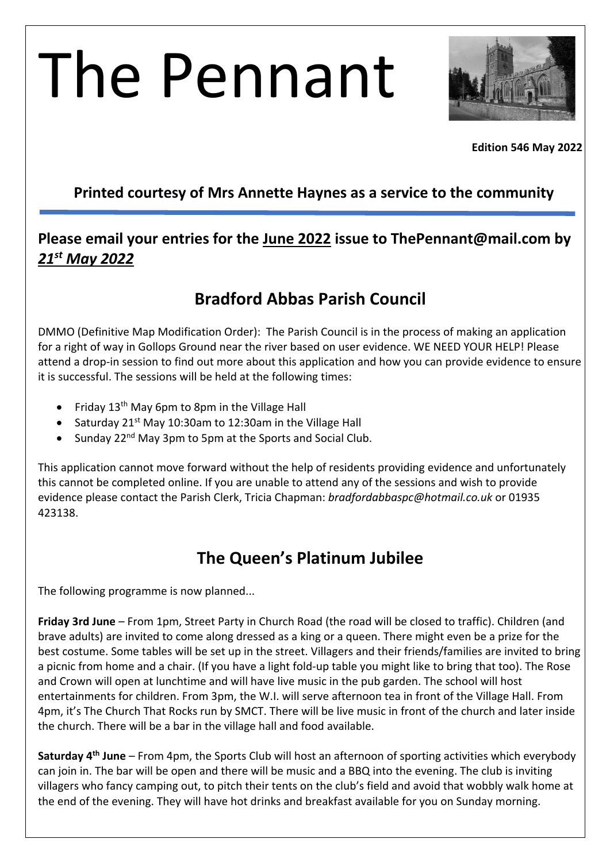# The Pennant



**Edition 546 May 2022**

#### **Printed courtesy of Mrs Annette Haynes as a service to the community**

#### **Please email your entries for the June 2022 issue to ThePennant@mail.com by**  *21st May 2022*

## **Bradford Abbas Parish Council**

DMMO (Definitive Map Modification Order): The Parish Council is in the process of making an application for a right of way in Gollops Ground near the river based on user evidence. WE NEED YOUR HELP! Please attend a drop-in session to find out more about this application and how you can provide evidence to ensure it is successful. The sessions will be held at the following times:

- Friday  $13<sup>th</sup>$  May 6pm to 8pm in the Village Hall
- Saturday 21<sup>st</sup> May 10:30am to 12:30am in the Village Hall
- Sunday 22<sup>nd</sup> May 3pm to 5pm at the Sports and Social Club.

This application cannot move forward without the help of residents providing evidence and unfortunately this cannot be completed online. If you are unable to attend any of the sessions and wish to provide evidence please contact the Parish Clerk, Tricia Chapman: *bradfordabbaspc@hotmail.co.uk* or 01935 423138.

# **The Queen's Platinum Jubilee**

The following programme is now planned...

**Friday 3rd June** – From 1pm, Street Party in Church Road (the road will be closed to traffic). Children (and brave adults) are invited to come along dressed as a king or a queen. There might even be a prize for the best costume. Some tables will be set up in the street. Villagers and their friends/families are invited to bring a picnic from home and a chair. (If you have a light fold-up table you might like to bring that too). The Rose and Crown will open at lunchtime and will have live music in the pub garden. The school will host entertainments for children. From 3pm, the W.I. will serve afternoon tea in front of the Village Hall. From 4pm, it's The Church That Rocks run by SMCT. There will be live music in front of the church and later inside the church. There will be a bar in the village hall and food available.

**Saturday 4th June** – From 4pm, the Sports Club will host an afternoon of sporting activities which everybody can join in. The bar will be open and there will be music and a BBQ into the evening. The club is inviting villagers who fancy camping out, to pitch their tents on the club's field and avoid that wobbly walk home at the end of the evening. They will have hot drinks and breakfast available for you on Sunday morning.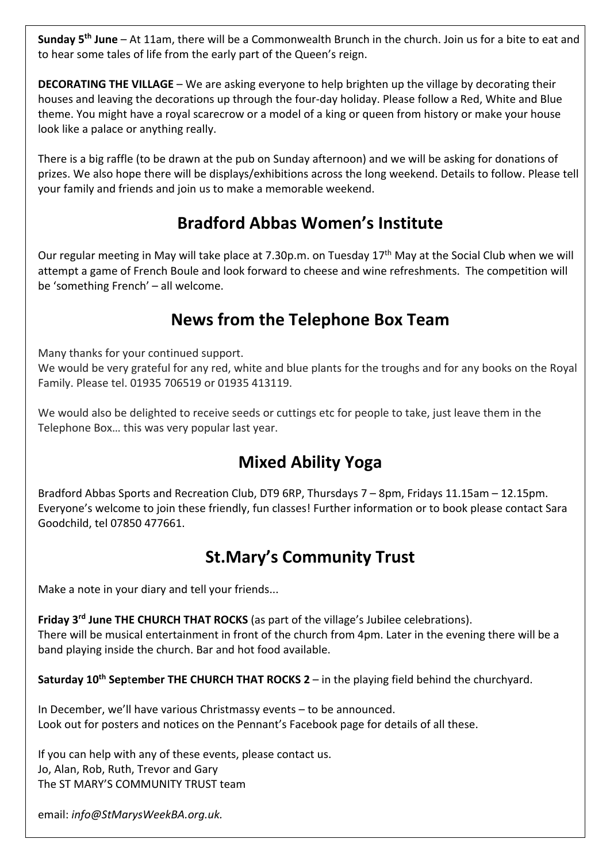**Sunday 5th June** – At 11am, there will be a Commonwealth Brunch in the church. Join us for a bite to eat and to hear some tales of life from the early part of the Queen's reign.

**DECORATING THE VILLAGE** – We are asking everyone to help brighten up the village by decorating their houses and leaving the decorations up through the four-day holiday. Please follow a Red, White and Blue theme. You might have a royal scarecrow or a model of a king or queen from history or make your house look like a palace or anything really.

There is a big raffle (to be drawn at the pub on Sunday afternoon) and we will be asking for donations of prizes. We also hope there will be displays/exhibitions across the long weekend. Details to follow. Please tell your family and friends and join us to make a memorable weekend.

# **Bradford Abbas Women's Institute**

Our regular meeting in May will take place at 7.30p.m. on Tuesday 17<sup>th</sup> May at the Social Club when we will attempt a game of French Boule and look forward to cheese and wine refreshments. The competition will be 'something French' – all welcome.

## **News from the Telephone Box Team**

Many thanks for your continued support.

We would be very grateful for any red, white and blue plants for the troughs and for any books on the Royal Family. Please tel. 01935 706519 or 01935 413119.

We would also be delighted to receive seeds or cuttings etc for people to take, just leave them in the Telephone Box… this was very popular last year.

# **Mixed Ability Yoga**

Bradford Abbas Sports and Recreation Club, DT9 6RP, Thursdays 7 – 8pm, Fridays 11.15am – 12.15pm. Everyone's welcome to join these friendly, fun classes! Further information or to book please contact Sara Goodchild, tel 07850 477661.

# **St.Mary's Community Trust**

Make a note in your diary and tell your friends...

**Friday 3rd June THE CHURCH THAT ROCKS** (as part of the village's Jubilee celebrations). There will be musical entertainment in front of the church from 4pm. Later in the evening there will be a band playing inside the church. Bar and hot food available.

**Saturday 10th Sep**t**ember THE CHURCH THAT ROCKS 2** – in the playing field behind the churchyard.

In December, we'll have various Christmassy events – to be announced. Look out for posters and notices on the Pennant's Facebook page for details of all these.

If you can help with any of these events, please contact us. Jo, Alan, Rob, Ruth, Trevor and Gary The ST MARY'S COMMUNITY TRUST team

email: *info@StMarysWeekBA.org.uk.*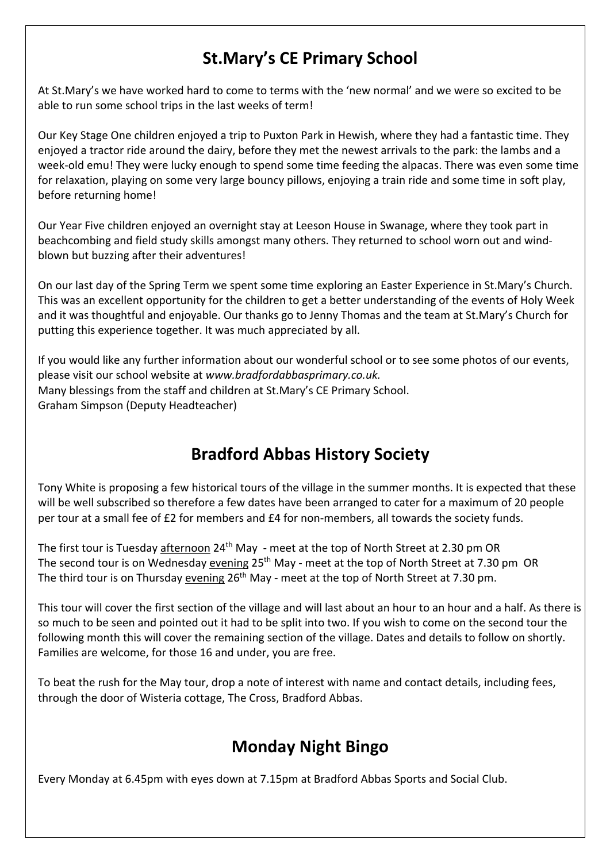# **St.Mary's CE Primary School**

At St.Mary's we have worked hard to come to terms with the 'new normal' and we were so excited to be able to run some school trips in the last weeks of term!

Our Key Stage One children enjoyed a trip to Puxton Park in Hewish, where they had a fantastic time. They enjoyed a tractor ride around the dairy, before they met the newest arrivals to the park: the lambs and a week-old emu! They were lucky enough to spend some time feeding the alpacas. There was even some time for relaxation, playing on some very large bouncy pillows, enjoying a train ride and some time in soft play, before returning home!

Our Year Five children enjoyed an overnight stay at Leeson House in Swanage, where they took part in beachcombing and field study skills amongst many others. They returned to school worn out and windblown but buzzing after their adventures!

On our last day of the Spring Term we spent some time exploring an Easter Experience in St.Mary's Church. This was an excellent opportunity for the children to get a better understanding of the events of Holy Week and it was thoughtful and enjoyable. Our thanks go to Jenny Thomas and the team at St.Mary's Church for putting this experience together. It was much appreciated by all.

If you would like any further information about our wonderful school or to see some photos of our events, please visit our school website at *www.bradfordabbasprimary.co.uk.* Many blessings from the staff and children at St.Mary's CE Primary School. Graham Simpson (Deputy Headteacher)

# **Bradford Abbas History Society**

Tony White is proposing a few historical tours of the village in the summer months. It is expected that these will be well subscribed so therefore a few dates have been arranged to cater for a maximum of 20 people per tour at a small fee of £2 for members and £4 for non-members, all towards the society funds.

The first tour is Tuesday afternoon 24<sup>th</sup> May - meet at the top of North Street at 2.30 pm OR The second tour is on Wednesday evening 25<sup>th</sup> May - meet at the top of North Street at 7.30 pm OR The third tour is on Thursday evening 26<sup>th</sup> May - meet at the top of North Street at 7.30 pm.

This tour will cover the first section of the village and will last about an hour to an hour and a half. As there is so much to be seen and pointed out it had to be split into two. If you wish to come on the second tour the following month this will cover the remaining section of the village. Dates and details to follow on shortly. Families are welcome, for those 16 and under, you are free.

To beat the rush for the May tour, drop a note of interest with name and contact details, including fees, through the door of Wisteria cottage, The Cross, Bradford Abbas.

# **Monday Night Bingo**

Every Monday at 6.45pm with eyes down at 7.15pm at Bradford Abbas Sports and Social Club.